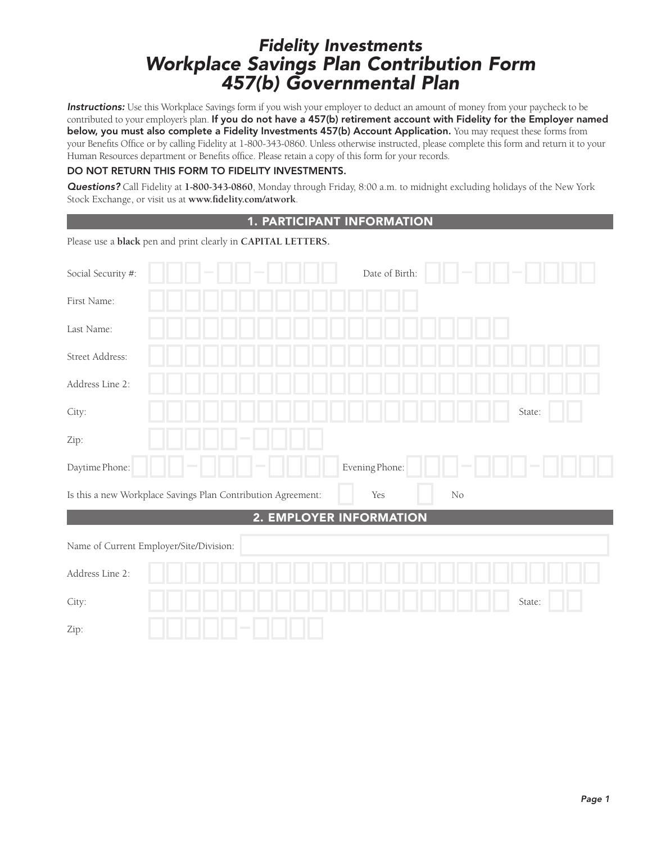# Fidelity Investments Workplace Savings Plan Contribution Form 457(b) Governmental Plan

Instructions: Use this Workplace Savings form if you wish your employer to deduct an amount of money from your paycheck to be contributed to your employer's plan. If you do not have a 457(b) retirement account with Fidelity for the Employer named below, you must also complete a Fidelity Investments 457(b) Account Application. You may request these forms from your Benefits Office or by calling Fidelity at 1-800-343-0860. Unless otherwise instructed, please complete this form and return it to your Human Resources department or Benefits office. Please retain a copy of this form for your records.

## DO NOT RETURN THIS FORM TO FIDELITY INVESTMENTS.

Questions? Call Fidelity at **1-800-343-0860**, Monday through Friday, 8:00 a.m. to midnight excluding holidays of the New York Stock Exchange, or visit us at www.fidelity.com/atwork.

## 1. PARTICIPANT INFORMATION

Please use a **black** pen and print clearly in **CAPITAL LETTERS.**

| Social Security #:                                           | Date of Birth:                 |          |        |
|--------------------------------------------------------------|--------------------------------|----------|--------|
| First Name:                                                  |                                |          |        |
| Last Name:                                                   |                                |          |        |
| Street Address:                                              |                                |          |        |
| Address Line 2:                                              |                                |          |        |
| City:                                                        |                                |          | State: |
| Zip:                                                         |                                |          |        |
| Daytime Phone:                                               | Evening Phone:                 |          |        |
| Is this a new Workplace Savings Plan Contribution Agreement: | Yes                            | $\rm No$ |        |
|                                                              | <b>2. EMPLOYER INFORMATION</b> |          |        |
| Name of Current Employer/Site/Division:                      |                                |          |        |
| Address Line 2:                                              |                                |          |        |
| City:                                                        |                                |          | State: |
| Zip:                                                         |                                |          |        |